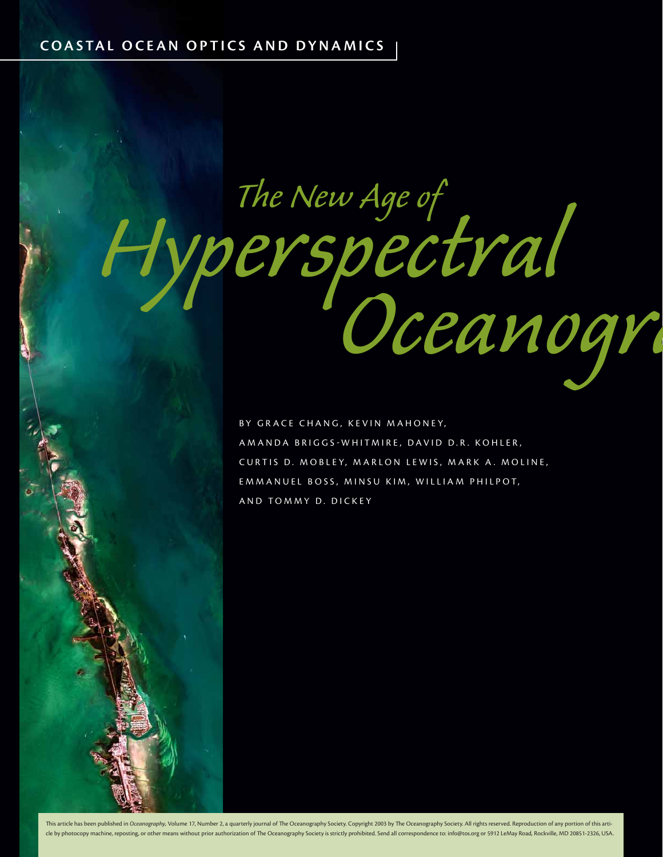# *Hyperspectral Oceanogra The New Age of*

BY GRACE CHANG, KEVIN MAHONEY, AMANDA BRIGGSWHITMIRE, DAVID D.R. KOHLER, CURTIS D. MOBLEY, MARLON LEWIS, MARK A. MOLINE, EMMANUEL BOSS, MINSU KIM, WILLIAM PHILPOT, AND TOMMY D. DICKEY

This article has been published in Oceanography, Volume 17, Number 2, a quarterly journal of The Oceanography Society. Copyright 2003 by The Oceanography Society. All rights reserved. Reproduction of any portion of this ar cle by photocopy machine, reposting, or other means without prior authorization of The Oceanography Society is strictly prohibited. Send all correspondence to: info@tos.org or 5912 LeMay Road, Rockville, MD 20851-2326, USA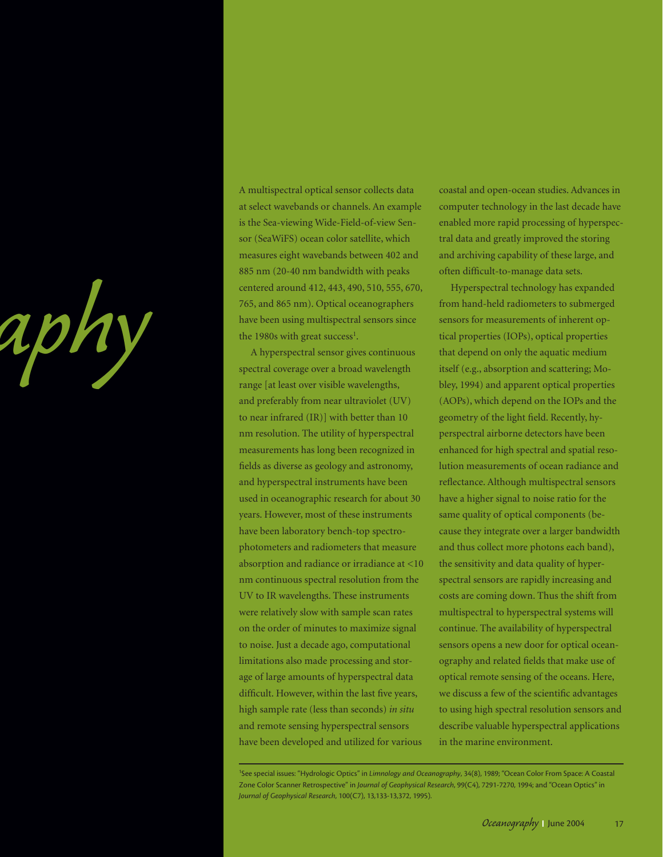

A multispectral optical sensor collects data at select wavebands or channels. An example is the Sea-viewing Wide-Field-of-view Sensor (SeaWiFS) ocean color satellite, which measures eight wavebands between 402 and 885 nm (20-40 nm bandwidth with peaks centered around 412, 443, 490, 510, 555, 670, 765, and 865 nm). Optical oceanographers have been using multispectral sensors since the 1980s with great success<sup>1</sup>.

A hyperspectral sensor gives continuous spectral coverage over a broad wavelength range [at least over visible wavelengths, and preferably from near ultraviolet (UV) to near infrared (IR)] with better than 10 nm resolution. The utility of hyperspectral measurements has long been recognized in fields as diverse as geology and astronomy, and hyperspectral instruments have been used in oceanographic research for about 30 years. However, most of these instruments have been laboratory bench-top spectrophotometers and radiometers that measure absorption and radiance or irradiance at <10 nm continuous spectral resolution from the UV to IR wavelengths. These instruments were relatively slow with sample scan rates on the order of minutes to maximize signal to noise. Just a decade ago, computational limitations also made processing and storage of large amounts of hyperspectral data difficult. However, within the last five years, high sample rate (less than seconds) *in situ* and remote sensing hyperspectral sensors have been developed and utilized for various

coastal and open-ocean studies. Advances in computer technology in the last decade have enabled more rapid processing of hyperspectral data and greatly improved the storing and archiving capability of these large, and often difficult-to-manage data sets.

Hyperspectral technology has expanded from hand-held radiometers to submerged sensors for measurements of inherent optical properties (IOPs), optical properties that depend on only the aquatic medium itself (e.g., absorption and scattering; Mobley, 1994) and apparent optical properties (AOPs), which depend on the IOPs and the geometry of the light field. Recently, hyperspectral airborne detectors have been enhanced for high spectral and spatial resolution measurements of ocean radiance and reflectance. Although multispectral sensors have a higher signal to noise ratio for the same quality of optical components (because they integrate over a larger bandwidth and thus collect more photons each band), the sensitivity and data quality of hyperspectral sensors are rapidly increasing and costs are coming down. Thus the shift from multispectral to hyperspectral systems will continue. The availability of hyperspectral sensors opens a new door for optical oceanography and related fields that make use of optical remote sensing of the oceans. Here, we discuss a few of the scientific advantages to using high spectral resolution sensors and describe valuable hyperspectral applications in the marine environment.

<sup>1</sup> See special issues: "Hydrologic Optics" in *Limnology and Oceanography*, 34(8), 1989; "Ocean Color From Space: A Coastal Zone Color Scanner Retrospective" in *Journal of Geophysical Research*, 99(C4), 7291-7270, 1994; and "Ocean Optics" in *Journal of Geophysical Research*, 100(C7), 13,133-13,372, 1995).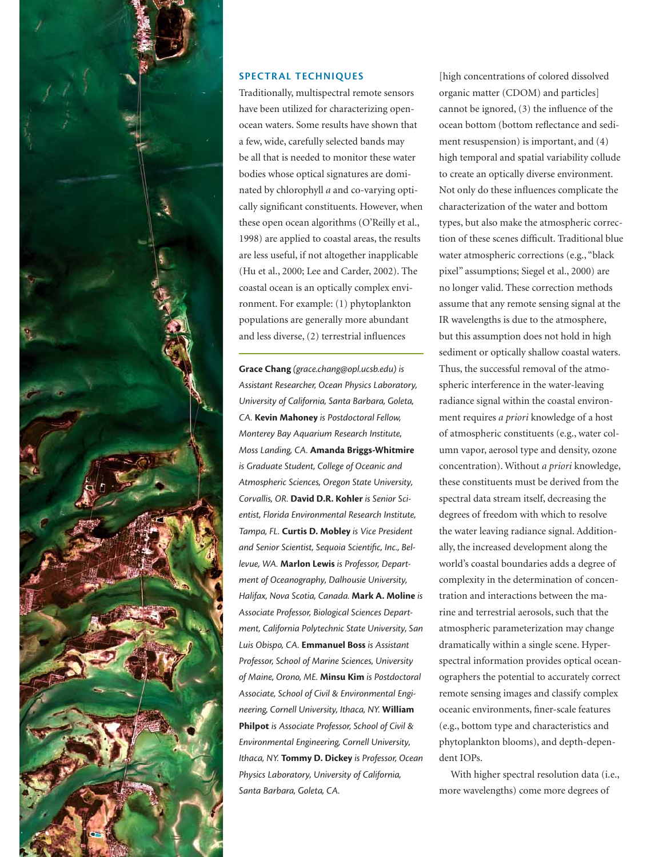

## **SPECTRAL TECHNIQUES**

Traditionally, multispectral remote sensors have been utilized for characterizing openocean waters. Some results have shown that a few, wide, carefully selected bands may be all that is needed to monitor these water bodies whose optical signatures are dominated by chlorophyll *a* and co-varying optically significant constituents. However, when these open ocean algorithms (O'Reilly et al., 1998) are applied to coastal areas, the results are less useful, if not altogether inapplicable (Hu et al., 2000; Lee and Carder, 2002). The coastal ocean is an optically complex environment. For example: (1) phytoplankton populations are generally more abundant and less diverse, (2) terrestrial influences

**Grace Chang** *(grace.chang@opl.ucsb.edu) is Assistant Researcher, Ocean Physics Laboratory, University of California, Santa Barbara, Goleta, CA.* **Kevin Mahoney** *is Postdoctoral Fellow, Monterey Bay Aquarium Research Institute, Moss Landing, CA.* **Amanda Briggs-Whitmire** *is Graduate Student, College of Oceanic and Atmospheric Sciences, Oregon State University, Corvallis, OR.* **David D.R. Kohler** *is Senior Scientist, Florida Environmental Research Institute, Tampa, FL.* **Curtis D. Mobley** *is Vice President*  and Senior Scientist, Sequoia Scientific, Inc., Bel*levue, WA.* **Marlon Lewis** *is Professor, Department of Oceanography, Dalhousie University, Halifax, Nova Scotia, Canada.* **Mark A. Moline** *is Associate Professor, Biological Sciences Department, California Polytechnic State University, San Luis Obispo, CA.* **Emmanuel Boss** *is Assistant Professor, School of Marine Sciences, University of Maine, Orono, ME.* **Minsu Kim** *is Postdoctoral Associate, School of Civil & Environmental Engineering, Cornell University, Ithaca, NY.* **William Philpot** *is Associate Professor, School of Civil & Environmental Engineering, Cornell University, Ithaca, NY.* **Tommy D. Dickey** *is Professor, Ocean Physics Laboratory, University of California, Santa Barbara, Goleta, CA.*

[high concentrations of colored dissolved organic matter (CDOM) and particles] cannot be ignored,  $(3)$  the influence of the ocean bottom (bottom reflectance and sediment resuspension) is important, and (4) high temporal and spatial variability collude to create an optically diverse environment. Not only do these influences complicate the characterization of the water and bottom types, but also make the atmospheric correction of these scenes difficult. Traditional blue water atmospheric corrections (e.g., "black pixel" assumptions; Siegel et al., 2000) are no longer valid. These correction methods assume that any remote sensing signal at the IR wavelengths is due to the atmosphere, but this assumption does not hold in high sediment or optically shallow coastal waters. Thus, the successful removal of the atmospheric interference in the water-leaving radiance signal within the coastal environment requires *a priori* knowledge of a host of atmospheric constituents (e.g., water column vapor, aerosol type and density, ozone concentration). Without *a priori* knowledge, these constituents must be derived from the spectral data stream itself, decreasing the degrees of freedom with which to resolve the water leaving radiance signal. Additionally, the increased development along the world's coastal boundaries adds a degree of complexity in the determination of concentration and interactions between the marine and terrestrial aerosols, such that the atmospheric parameterization may change dramatically within a single scene. Hyperspectral information provides optical oceanographers the potential to accurately correct remote sensing images and classify complex oceanic environments, finer-scale features (e.g., bottom type and characteristics and phytoplankton blooms), and depth-dependent IOPs.

With higher spectral resolution data (i.e., more wavelengths) come more degrees of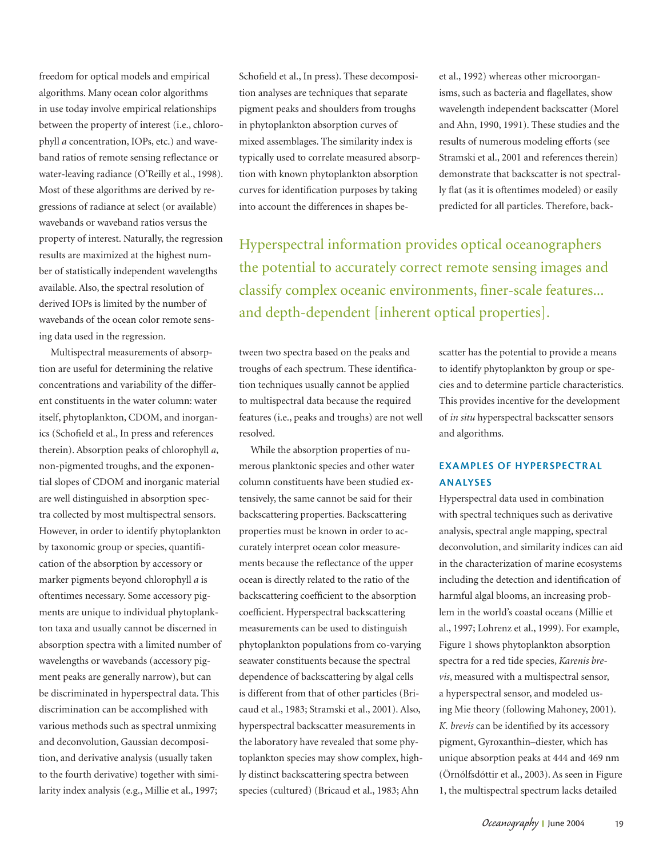freedom for optical models and empirical algorithms. Many ocean color algorithms in use today involve empirical relationships between the property of interest (i.e., chlorophyll *a* concentration, IOPs, etc.) and waveband ratios of remote sensing reflectance or water-leaving radiance (O'Reilly et al., 1998). Most of these algorithms are derived by regressions of radiance at select (or available) wavebands or waveband ratios versus the property of interest. Naturally, the regression results are maximized at the highest number of statistically independent wavelengths available. Also, the spectral resolution of derived IOPs is limited by the number of wavebands of the ocean color remote sensing data used in the regression.

Multispectral measurements of absorption are useful for determining the relative concentrations and variability of the different constituents in the water column: water itself, phytoplankton, CDOM, and inorganics (Schofield et al., In press and references therein). Absorption peaks of chlorophyll *a*, non-pigmented troughs, and the exponential slopes of CDOM and inorganic material are well distinguished in absorption spectra collected by most multispectral sensors. However, in order to identify phytoplankton by taxonomic group or species, quantification of the absorption by accessory or marker pigments beyond chlorophyll *a* is oftentimes necessary. Some accessory pigments are unique to individual phytoplankton taxa and usually cannot be discerned in absorption spectra with a limited number of wavelengths or wavebands (accessory pigment peaks are generally narrow), but can be discriminated in hyperspectral data. This discrimination can be accomplished with various methods such as spectral unmixing and deconvolution, Gaussian decomposition, and derivative analysis (usually taken to the fourth derivative) together with similarity index analysis (e.g., Millie et al., 1997;

Schofield et al., In press). These decomposition analyses are techniques that separate pigment peaks and shoulders from troughs in phytoplankton absorption curves of mixed assemblages. The similarity index is typically used to correlate measured absorption with known phytoplankton absorption curves for identification purposes by taking into account the differences in shapes beet al., 1992) whereas other microorganisms, such as bacteria and flagellates, show wavelength independent backscatter (Morel and Ahn, 1990, 1991). These studies and the results of numerous modeling efforts (see Stramski et al., 2001 and references therein) demonstrate that backscatter is not spectrally flat (as it is oftentimes modeled) or easily predicted for all particles. Therefore, back-

Hyperspectral information provides optical oceanographers the potential to accurately correct remote sensing images and classify complex oceanic environments, finer-scale features... and depth-dependent [inherent optical properties].

tween two spectra based on the peaks and troughs of each spectrum. These identification techniques usually cannot be applied to multispectral data because the required features (i.e., peaks and troughs) are not well resolved.

While the absorption properties of numerous planktonic species and other water column constituents have been studied extensively, the same cannot be said for their backscattering properties. Backscattering properties must be known in order to accurately interpret ocean color measurements because the reflectance of the upper ocean is directly related to the ratio of the backscattering coefficient to the absorption coefficient. Hyperspectral backscattering measurements can be used to distinguish phytoplankton populations from co-varying seawater constituents because the spectral dependence of backscattering by algal cells is different from that of other particles (Bricaud et al., 1983; Stramski et al., 2001). Also, hyperspectral backscatter measurements in the laboratory have revealed that some phytoplankton species may show complex, highly distinct backscattering spectra between species (cultured) (Bricaud et al., 1983; Ahn

scatter has the potential to provide a means to identify phytoplankton by group or species and to determine particle characteristics. This provides incentive for the development of *in situ* hyperspectral backscatter sensors and algorithms.

# **EXAMPLES OF HYPERSPECTRAL ANALYSES**

Hyperspectral data used in combination with spectral techniques such as derivative analysis, spectral angle mapping, spectral deconvolution, and similarity indices can aid in the characterization of marine ecosystems including the detection and identification of harmful algal blooms, an increasing problem in the world's coastal oceans (Millie et al., 1997; Lohrenz et al., 1999). For example, Figure 1 shows phytoplankton absorption spectra for a red tide species, *Karenis brevis*, measured with a multispectral sensor, a hyperspectral sensor, and modeled using Mie theory (following Mahoney, 2001). *K. brevis* can be identified by its accessory pigment, Gyroxanthin–diester, which has unique absorption peaks at 444 and 469 nm (Örnólfsdóttir et al., 2003). As seen in Figure 1, the multispectral spectrum lacks detailed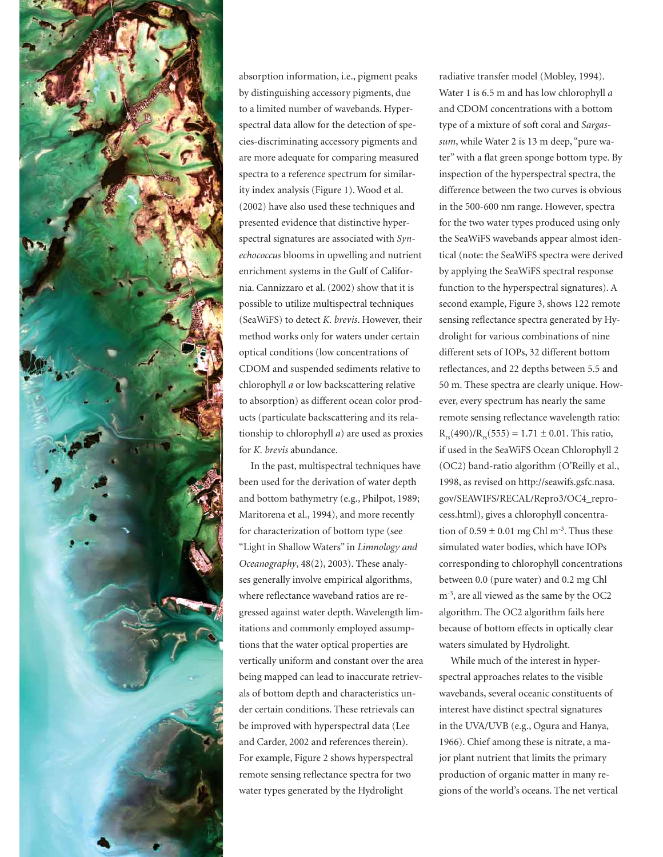

absorption information, i.e., pigment peaks by distinguishing accessory pigments, due to a limited number of wavebands. Hyperspectral data allow for the detection of species-discriminating accessory pigments and are more adequate for comparing measured spectra to a reference spectrum for similarity index analysis (Figure 1). Wood et al. (2002) have also used these techniques and presented evidence that distinctive hyperspectral signatures are associated with *Synechococcus* blooms in upwelling and nutrient enrichment systems in the Gulf of California. Cannizzaro et al. (2002) show that it is possible to utilize multispectral techniques (SeaWiFS) to detect *K. brevis*. However, their method works only for waters under certain optical conditions (low concentrations of CDOM and suspended sediments relative to chlorophyll *a* or low backscattering relative to absorption) as different ocean color products (particulate backscattering and its relationship to chlorophyll *a*) are used as proxies for *K. brevis* abundance.

In the past, multispectral techniques have been used for the derivation of water depth and bottom bathymetry (e.g., Philpot, 1989; Maritorena et al., 1994), and more recently for characterization of bottom type (see "Light in Shallow Waters" in *Limnology and Oceanography*, 48(2), 2003). These analyses generally involve empirical algorithms, where reflectance waveband ratios are regressed against water depth. Wavelength limitations and commonly employed assumptions that the water optical properties are vertically uniform and constant over the area being mapped can lead to inaccurate retrievals of bottom depth and characteristics under certain conditions. These retrievals can be improved with hyperspectral data (Lee and Carder, 2002 and references therein). For example, Figure 2 shows hyperspectral remote sensing reflectance spectra for two water types generated by the Hydrolight

radiative transfer model (Mobley, 1994). Water 1 is 6.5 m and has low chlorophyll *a* and CDOM concentrations with a bottom type of a mixture of soft coral and *Sargassum*, while Water 2 is 13 m deep, "pure water" with a flat green sponge bottom type. By inspection of the hyperspectral spectra, the difference between the two curves is obvious in the 500-600 nm range. However, spectra for the two water types produced using only the SeaWiFS wavebands appear almost identical (note: the SeaWiFS spectra were derived by applying the SeaWiFS spectral response function to the hyperspectral signatures). A second example, Figure 3, shows 122 remote sensing reflectance spectra generated by Hydrolight for various combinations of nine different sets of IOPs, 32 different bottom reflectances, and 22 depths between 5.5 and 50 m. These spectra are clearly unique. However, every spectrum has nearly the same remote sensing reflectance wavelength ratio:  $R_{rs}(490)/R_{rs}(555) = 1.71 \pm 0.01$ . This ratio, if used in the SeaWiFS Ocean Chlorophyll 2 (OC2) band-ratio algorithm (O'Reilly et al., 1998, as revised on http://seawifs.gsfc.nasa. gov/SEAWIFS/RECAL/Repro3/OC4\_reprocess.html), gives a chlorophyll concentration of  $0.59 \pm 0.01$  mg Chl m<sup>-3</sup>. Thus these simulated water bodies, which have IOPs corresponding to chlorophyll concentrations between 0.0 (pure water) and 0.2 mg Chl m-3, are all viewed as the same by the OC2 algorithm. The OC2 algorithm fails here because of bottom effects in optically clear waters simulated by Hydrolight.

While much of the interest in hyperspectral approaches relates to the visible wavebands, several oceanic constituents of interest have distinct spectral signatures in the UVA/UVB (e.g., Ogura and Hanya, 1966). Chief among these is nitrate, a major plant nutrient that limits the primary production of organic matter in many regions of the world's oceans. The net vertical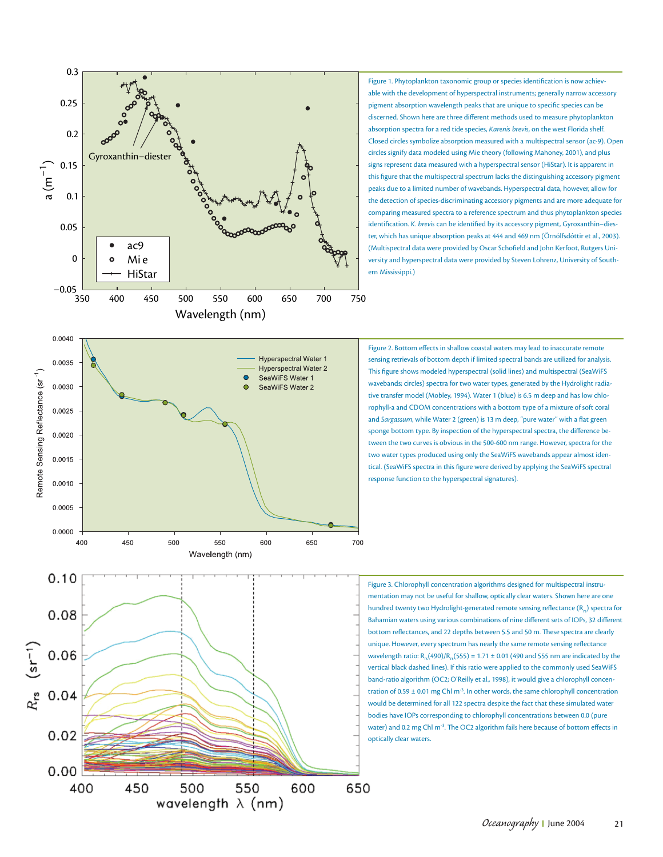

Figure 1. Phytoplankton taxonomic group or species identification is now achievable with the development of hyperspectral instruments; generally narrow accessory pigment absorption wavelength peaks that are unique to specific species can be discerned. Shown here are three different methods used to measure phytoplankton absorption spectra for a red tide species, *Karenis brevis*, on the west Florida shelf. Closed circles symbolize absorption measured with a multispectral sensor (ac-9). Open circles signify data modeled using Mie theory (following Mahoney, 2001), and plus signs represent data measured with a hyperspectral sensor (HiStar). It is apparent in this figure that the multispectral spectrum lacks the distinguishing accessory pigment peaks due to a limited number of wavebands. Hyperspectral data, however, allow for the detection of species-discriminating accessory pigments and are more adequate for comparing measured spectra to a reference spectrum and thus phytoplankton species identification. *K. brevis* can be identified by its accessory pigment, Gyroxanthin-diester, which has unique absorption peaks at 444 and 469 nm (Örnólfsdóttir et al., 2003). (Multispectral data were provided by Oscar Schofield and John Kerfoot, Rutgers University and hyperspectral data were provided by Steven Lohrenz, University of Southern Mississippi.)



Figure 2. Bottom effects in shallow coastal waters may lead to inaccurate remote sensing retrievals of bottom depth if limited spectral bands are utilized for analysis. This figure shows modeled hyperspectral (solid lines) and multispectral (SeaWiFS wavebands; circles) spectra for two water types, generated by the Hydrolight radiative transfer model (Mobley, 1994). Water 1 (blue) is 6.5 m deep and has low chlorophyll-a and CDOM concentrations with a bottom type of a mixture of soft coral and *Sargassum*, while Water 2 (green) is 13 m deep, "pure water" with a flat green sponge bottom type. By inspection of the hyperspectral spectra, the difference between the two curves is obvious in the 500-600 nm range. However, spectra for the two water types produced using only the SeaWiFS wavebands appear almost identical. (SeaWiFS spectra in this figure were derived by applying the SeaWiFS spectral response function to the hyperspectral signatures).

Figure 3. Chlorophyll concentration algorithms designed for multispectral instrumentation may not be useful for shallow, optically clear waters. Shown here are one hundred twenty two Hydrolight-generated remote sensing reflectance (R<sub>re</sub>) spectra for Bahamian waters using various combinations of nine different sets of IOPs, 32 different bottom reflectances, and 22 depths between 5.5 and 50 m. These spectra are clearly unique. However, every spectrum has nearly the same remote sensing reflectance wavelength ratio:  $R_{rs}(490)/R_{rs}(555) = 1.71 \pm 0.01$  (490 and 555 nm are indicated by the vertical black dashed lines). If this ratio were applied to the commonly used SeaWiFS band-ratio algorithm (OC2; O'Reilly et al., 1998), it would give a chlorophyll concentration of 0.59  $\pm$  0.01 mg Chl m<sup>-3</sup>. In other words, the same chlorophyll concentration would be determined for all 122 spectra despite the fact that these simulated water bodies have IOPs corresponding to chlorophyll concentrations between 0.0 (pure water) and 0.2 mg Chl m<sup>-3</sup>. The OC2 algorithm fails here because of bottom effects in optically clear waters.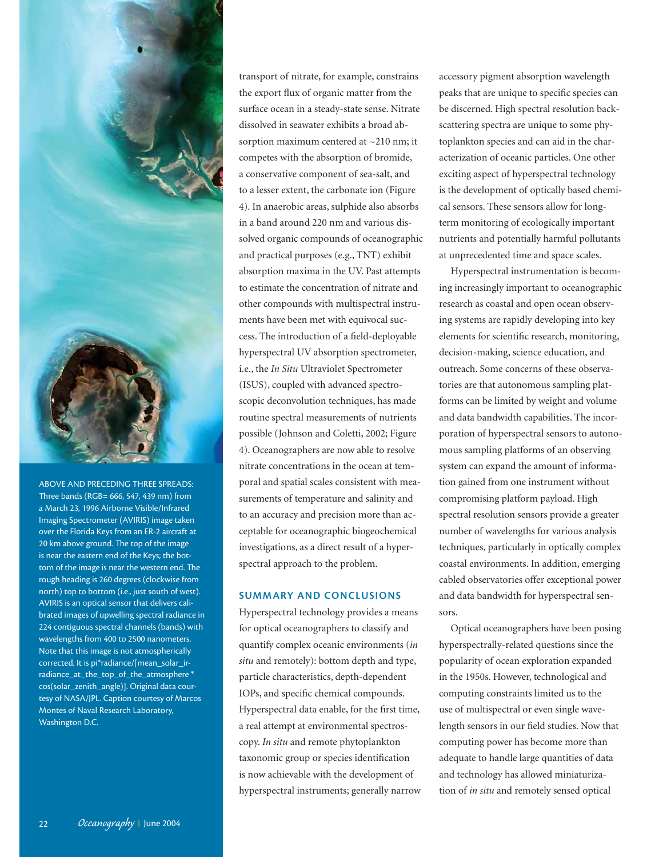

ABOVE AND PRECEDING THREE SPREADS: Three bands ( $RGB= 666, 547, 439$  nm) from a March 23, 1996 Airborne Visible/Infrared Imaging Spectrometer (AVIRIS) image taken over the Florida Keys from an ER-2 aircraft at 20 km above ground. The top of the image is near the eastern end of the Keys; the bottom of the image is near the western end. The rough heading is 260 degrees (clockwise from north) top to bottom (i.e., just south of west). AVIRIS is an optical sensor that delivers calibrated images of upwelling spectral radiance in 224 contiguous spectral channels (bands) with wavelengths from 400 to 2500 nanometers. Note that this image is not atmospherically corrected. It is pi\*radiance/[mean\_solar\_irradiance\_at\_the\_top\_of\_the\_atmosphere \* cos(solar\_zenith\_angle)]. Original data courtesy of NASA/JPL. Caption courtesy of Marcos Montes of Naval Research Laboratory, Washington D.C.

transport of nitrate, for example, constrains the export flux of organic matter from the surface ocean in a steady-state sense. Nitrate dissolved in seawater exhibits a broad absorption maximum centered at ~210 nm; it competes with the absorption of bromide, a conservative component of sea-salt, and to a lesser extent, the carbonate ion (Figure 4). In anaerobic areas, sulphide also absorbs in a band around 220 nm and various dissolved organic compounds of oceanographic and practical purposes (e.g., TNT) exhibit absorption maxima in the UV. Past attempts to estimate the concentration of nitrate and other compounds with multispectral instruments have been met with equivocal success. The introduction of a field-deployable hyperspectral UV absorption spectrometer, i.e., the *In Situ* Ultraviolet Spectrometer (ISUS), coupled with advanced spectroscopic deconvolution techniques, has made routine spectral measurements of nutrients possible (Johnson and Coletti, 2002; Figure 4). Oceanographers are now able to resolve nitrate concentrations in the ocean at temporal and spatial scales consistent with measurements of temperature and salinity and to an accuracy and precision more than acceptable for oceanographic biogeochemical investigations, as a direct result of a hyperspectral approach to the problem.

# **SUMMARY AND CONCLUSIONS**

Hyperspectral technology provides a means for optical oceanographers to classify and quantify complex oceanic environments (*in situ* and remotely): bottom depth and type, particle characteristics, depth-dependent IOPs, and specific chemical compounds. Hyperspectral data enable, for the first time, a real attempt at environmental spectroscopy. *In situ* and remote phytoplankton taxonomic group or species identification is now achievable with the development of hyperspectral instruments; generally narrow accessory pigment absorption wavelength peaks that are unique to specific species can be discerned. High spectral resolution backscattering spectra are unique to some phytoplankton species and can aid in the characterization of oceanic particles. One other exciting aspect of hyperspectral technology is the development of optically based chemical sensors. These sensors allow for longterm monitoring of ecologically important nutrients and potentially harmful pollutants at unprecedented time and space scales.

Hyperspectral instrumentation is becoming increasingly important to oceanographic research as coastal and open ocean observing systems are rapidly developing into key elements for scientific research, monitoring, decision-making, science education, and outreach. Some concerns of these observatories are that autonomous sampling platforms can be limited by weight and volume and data bandwidth capabilities. The incorporation of hyperspectral sensors to autonomous sampling platforms of an observing system can expand the amount of information gained from one instrument without compromising platform payload. High spectral resolution sensors provide a greater number of wavelengths for various analysis techniques, particularly in optically complex coastal environments. In addition, emerging cabled observatories offer exceptional power and data bandwidth for hyperspectral sensors.

Optical oceanographers have been posing hyperspectrally-related questions since the popularity of ocean exploration expanded in the 1950s. However, technological and computing constraints limited us to the use of multispectral or even single wavelength sensors in our field studies. Now that computing power has become more than adequate to handle large quantities of data and technology has allowed miniaturization of *in situ* and remotely sensed optical